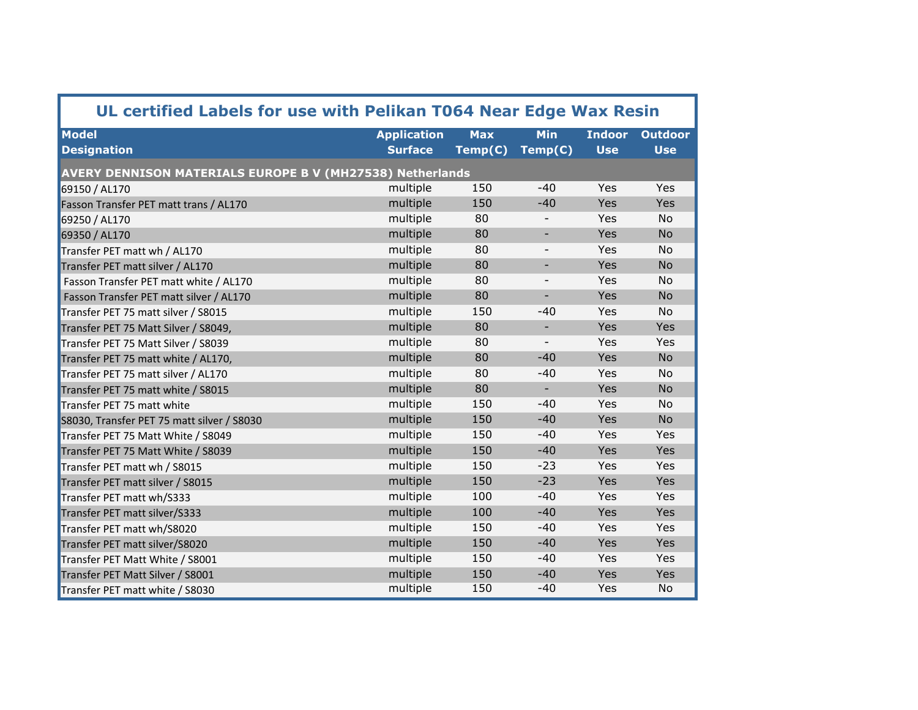| UL certified Labels for use with Pelikan T064 Near Edge Wax Resin |                    |            |                          |               |                |  |  |  |
|-------------------------------------------------------------------|--------------------|------------|--------------------------|---------------|----------------|--|--|--|
| <b>Model</b>                                                      | <b>Application</b> | <b>Max</b> | <b>Min</b>               | <b>Indoor</b> | <b>Outdoor</b> |  |  |  |
| <b>Designation</b>                                                | <b>Surface</b>     | Temp(C)    | Temp(C)                  | <b>Use</b>    | <b>Use</b>     |  |  |  |
| AVERY DENNISON MATERIALS EUROPE B V (MH27538) Netherlands         |                    |            |                          |               |                |  |  |  |
| 69150 / AL170                                                     | multiple           | 150        | $-40$                    | Yes           | Yes            |  |  |  |
| Fasson Transfer PET matt trans / AL170                            | multiple           | 150        | $-40$                    | Yes           | Yes            |  |  |  |
| 69250 / AL170                                                     | multiple           | 80         |                          | Yes           | No             |  |  |  |
| 69350 / AL170                                                     | multiple           | 80         | $\overline{\phantom{0}}$ | Yes           | <b>No</b>      |  |  |  |
| Transfer PET matt wh / AL170                                      | multiple           | 80         | $\qquad \qquad -$        | Yes           | No             |  |  |  |
| Transfer PET matt silver / AL170                                  | multiple           | 80         | ÷,                       | Yes           | <b>No</b>      |  |  |  |
| Fasson Transfer PET matt white / AL170                            | multiple           | 80         | $\overline{a}$           | Yes           | No             |  |  |  |
| Fasson Transfer PET matt silver / AL170                           | multiple           | 80         | ÷,                       | Yes           | <b>No</b>      |  |  |  |
| Transfer PET 75 matt silver / S8015                               | multiple           | 150        | $-40$                    | Yes           | No             |  |  |  |
| Transfer PET 75 Matt Silver / S8049,                              | multiple           | 80         | $\blacksquare$           | Yes           | Yes            |  |  |  |
| Transfer PET 75 Matt Silver / S8039                               | multiple           | 80         | $\overline{\phantom{a}}$ | Yes           | Yes            |  |  |  |
| Transfer PET 75 matt white / AL170,                               | multiple           | 80         | $-40$                    | Yes           | <b>No</b>      |  |  |  |
| Transfer PET 75 matt silver / AL170                               | multiple           | 80         | $-40$                    | Yes           | No             |  |  |  |
| Transfer PET 75 matt white / S8015                                | multiple           | 80         |                          | Yes           | <b>No</b>      |  |  |  |
| Transfer PET 75 matt white                                        | multiple           | 150        | $-40$                    | Yes           | No             |  |  |  |
| S8030, Transfer PET 75 matt silver / S8030                        | multiple           | 150        | $-40$                    | Yes           | <b>No</b>      |  |  |  |
| Transfer PET 75 Matt White / S8049                                | multiple           | 150        | $-40$                    | Yes           | Yes            |  |  |  |
| Transfer PET 75 Matt White / S8039                                | multiple           | 150        | $-40$                    | Yes           | Yes            |  |  |  |
| Transfer PET matt wh / S8015                                      | multiple           | 150        | $-23$                    | Yes           | Yes            |  |  |  |
| Transfer PET matt silver / S8015                                  | multiple           | 150        | $-23$                    | Yes           | Yes            |  |  |  |
| Transfer PET matt wh/S333                                         | multiple           | 100        | $-40$                    | Yes           | Yes            |  |  |  |
| Transfer PET matt silver/S333                                     | multiple           | 100        | $-40$                    | Yes           | Yes            |  |  |  |
| Transfer PET matt wh/S8020                                        | multiple           | 150        | $-40$                    | Yes           | Yes            |  |  |  |
| Transfer PET matt silver/S8020                                    | multiple           | 150        | $-40$                    | Yes           | Yes            |  |  |  |
| Transfer PET Matt White / S8001                                   | multiple           | 150        | $-40$                    | Yes           | Yes            |  |  |  |
| Transfer PET Matt Silver / S8001                                  | multiple           | 150        | $-40$                    | Yes           | Yes            |  |  |  |
| Transfer PET matt white / S8030                                   | multiple           | 150        | $-40$                    | Yes           | No             |  |  |  |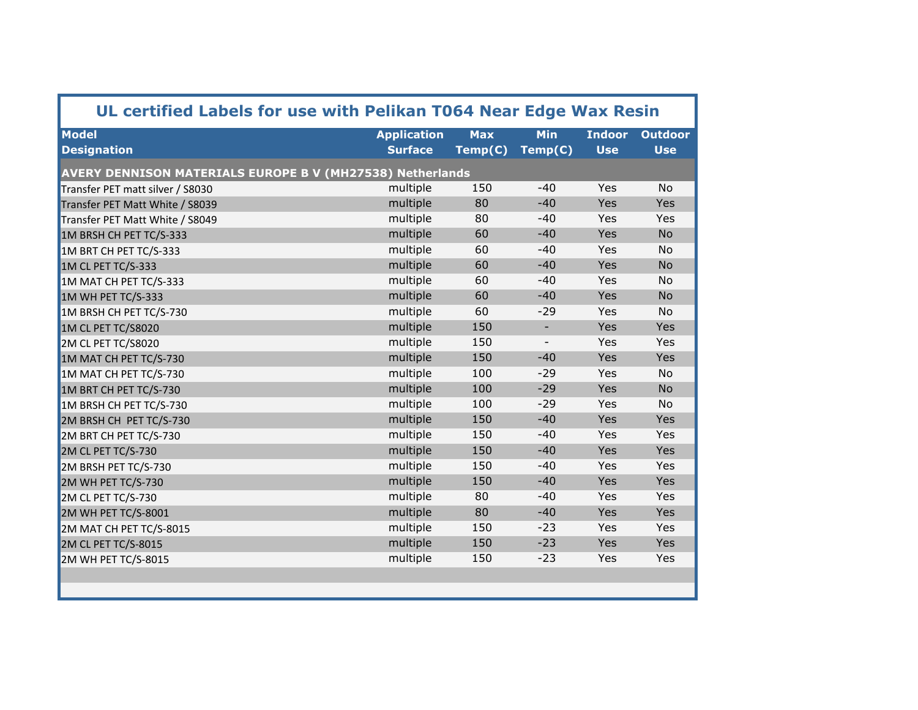| UL certified Labels for use with Pelikan T064 Near Edge Wax Resin |                                      |                       |                          |                             |                              |  |  |
|-------------------------------------------------------------------|--------------------------------------|-----------------------|--------------------------|-----------------------------|------------------------------|--|--|
| <b>Model</b><br><b>Designation</b>                                | <b>Application</b><br><b>Surface</b> | <b>Max</b><br>Temp(C) | <b>Min</b><br>Temp(C)    | <b>Indoor</b><br><b>Use</b> | <b>Outdoor</b><br><b>Use</b> |  |  |
| <b>AVERY DENNISON MATERIALS EUROPE B V (MH27538) Netherlands</b>  |                                      |                       |                          |                             |                              |  |  |
| Transfer PET matt silver / S8030                                  | multiple                             | 150                   | $-40$                    | Yes                         | <b>No</b>                    |  |  |
| Transfer PET Matt White / S8039                                   | multiple                             | 80                    | $-40$                    | Yes                         | Yes                          |  |  |
| Transfer PET Matt White / S8049                                   | multiple                             | 80                    | $-40$                    | Yes                         | Yes                          |  |  |
| 1M BRSH CH PET TC/S-333                                           | multiple                             | 60                    | $-40$                    | Yes                         | <b>No</b>                    |  |  |
| 1M BRT CH PET TC/S-333                                            | multiple                             | 60                    | $-40$                    | Yes                         | <b>No</b>                    |  |  |
| 1M CL PET TC/S-333                                                | multiple                             | 60                    | $-40$                    | Yes                         | <b>No</b>                    |  |  |
| 1M MAT CH PET TC/S-333                                            | multiple                             | 60                    | $-40$                    | Yes                         | No                           |  |  |
| 1M WH PET TC/S-333                                                | multiple                             | 60                    | $-40$                    | Yes                         | <b>No</b>                    |  |  |
| 1M BRSH CH PET TC/S-730                                           | multiple                             | 60                    | $-29$                    | Yes                         | <b>No</b>                    |  |  |
| 1M CL PET TC/S8020                                                | multiple                             | 150                   | $\overline{\phantom{a}}$ | Yes                         | Yes                          |  |  |
| 2M CL PET TC/S8020                                                | multiple                             | 150                   |                          | Yes                         | Yes                          |  |  |
| 1M MAT CH PET TC/S-730                                            | multiple                             | 150                   | $-40$                    | <b>Yes</b>                  | Yes                          |  |  |
| 1M MAT CH PET TC/S-730                                            | multiple                             | 100                   | $-29$                    | Yes                         | <b>No</b>                    |  |  |
| 1M BRT CH PET TC/S-730                                            | multiple                             | 100                   | $-29$                    | Yes                         | <b>No</b>                    |  |  |
| 1M BRSH CH PET TC/S-730                                           | multiple                             | 100                   | $-29$                    | Yes                         | <b>No</b>                    |  |  |
| 2M BRSH CH PET TC/S-730                                           | multiple                             | 150                   | $-40$                    | Yes                         | Yes                          |  |  |
| 2M BRT CH PET TC/S-730                                            | multiple                             | 150                   | $-40$                    | Yes                         | Yes                          |  |  |
| 2M CL PET TC/S-730                                                | multiple                             | 150                   | $-40$                    | Yes                         | Yes                          |  |  |
| 2M BRSH PET TC/S-730                                              | multiple                             | 150                   | $-40$                    | Yes                         | Yes                          |  |  |
| 2M WH PET TC/S-730                                                | multiple                             | 150                   | $-40$                    | Yes                         | <b>Yes</b>                   |  |  |
| 2M CL PET TC/S-730                                                | multiple                             | 80                    | $-40$                    | Yes                         | Yes                          |  |  |
| 2M WH PET TC/S-8001                                               | multiple                             | 80                    | $-40$                    | Yes                         | Yes                          |  |  |
| 2M MAT CH PET TC/S-8015                                           | multiple                             | 150                   | $-23$                    | Yes                         | Yes                          |  |  |
| 2M CL PET TC/S-8015                                               | multiple                             | 150                   | $-23$                    | Yes                         | <b>Yes</b>                   |  |  |
| 2M WH PET TC/S-8015                                               | multiple                             | 150                   | $-23$                    | Yes                         | Yes                          |  |  |
|                                                                   |                                      |                       |                          |                             |                              |  |  |
|                                                                   |                                      |                       |                          |                             |                              |  |  |